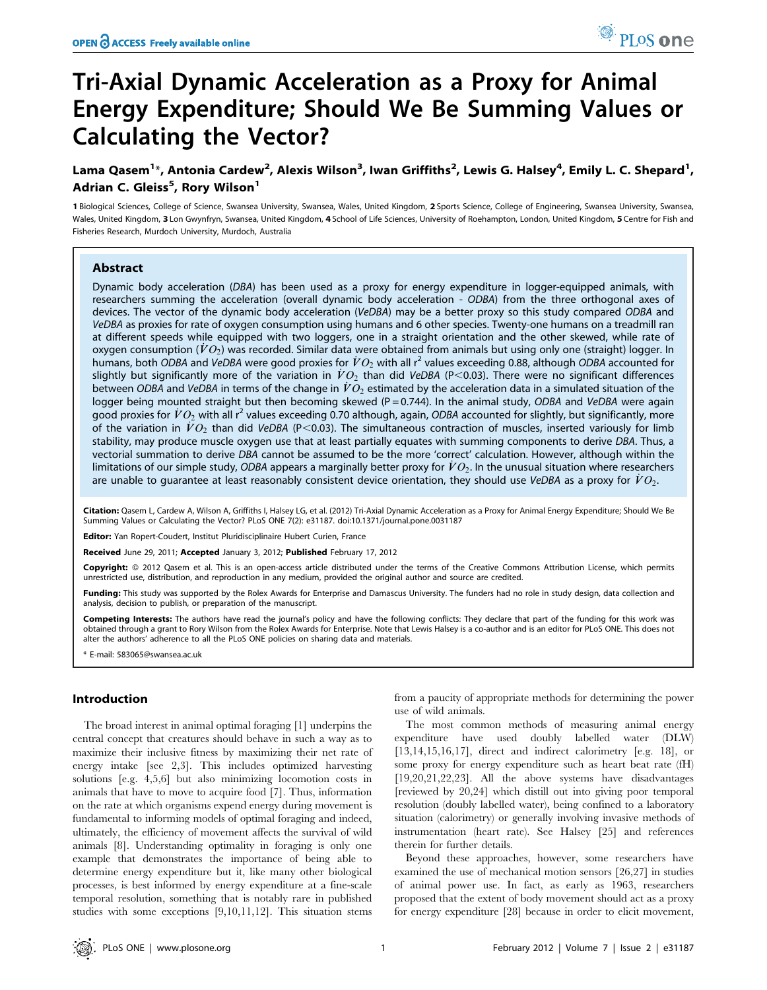# Tri-Axial Dynamic Acceleration as a Proxy for Animal Energy Expenditure; Should We Be Summing Values or Calculating the Vector?

## Lama Qasem<sup>1</sup>\*, Antonia Cardew<sup>2</sup>, Alexis Wilson<sup>3</sup>, Iwan Griffiths<sup>2</sup>, Lewis G. Halsey<sup>4</sup>, Emily L. C. Shepard<sup>1</sup>, Adrian C. Gleiss<sup>5</sup>, Rory Wilson<sup>1</sup>

1 Biological Sciences, College of Science, Swansea University, Swansea, Wales, United Kingdom, 2 Sports Science, College of Engineering, Swansea University, Swansea, Wales, United Kingdom, 3 Lon Gwynfryn, Swansea, United Kingdom, 4 School of Life Sciences, University of Roehampton, London, United Kingdom, 5 Centre for Fish and Fisheries Research, Murdoch University, Murdoch, Australia

## Abstract

Dynamic body acceleration (DBA) has been used as a proxy for energy expenditure in logger-equipped animals, with researchers summing the acceleration (overall dynamic body acceleration - ODBA) from the three orthogonal axes of devices. The vector of the dynamic body acceleration (VeDBA) may be a better proxy so this study compared ODBA and VeDBA as proxies for rate of oxygen consumption using humans and 6 other species. Twenty-one humans on a treadmill ran at different speeds while equipped with two loggers, one in a straight orientation and the other skewed, while rate of oxygen consumption ( $\dot{V}O_2$ ) was recorded. Similar data were obtained from animals but using only one (straight) logger. In humans, both ODBA and VeDBA were good proxies for  $\dot{V}O_2$  with all r<sup>2</sup> values exceeding 0.88, although ODBA accounted for slightly but significantly more of the variation in  $\dot{V}O_2$  than did VeDBA (P<0.03). There were no significant differences between ODBA and VeDBA in terms of the change in  $\dot{V}O_2$  estimated by the acceleration data in a simulated situation of the logger being mounted straight but then becoming skewed ( $P = 0.744$ ). In the animal study, ODBA and VeDBA were again good proxies for  $\dot{V}O_2$  with all r<sup>2</sup> values exceeding 0.70 although, again, ODBA accounted for slightly, but significantly, more of the variation in  $\dot{V}O_2$  than did VeDBA (P<0.03). The simultaneous contraction of muscles, inserted variously for limb stability, may produce muscle oxygen use that at least partially equates with summing components to derive DBA. Thus, a vectorial summation to derive DBA cannot be assumed to be the more 'correct' calculation. However, although within the limitations of our simple study, ODBA appears a marginally better proxy for  $VO<sub>2</sub>$ . In the unusual situation where researchers are unable to guarantee at least reasonably consistent device orientation, they should use VeDBA as a proxy for  $VO<sub>2</sub>$ .

Citation: Qasem L, Cardew A, Wilson A, Griffiths I, Halsey LG, et al. (2012) Tri-Axial Dynamic Acceleration as a Proxy for Animal Energy Expenditure; Should We Be Summing Values or Calculating the Vector? PLoS ONE 7(2): e31187. doi:10.1371/journal.pone.0031187

Editor: Yan Ropert-Coudert, Institut Pluridisciplinaire Hubert Curien, France

Received June 29, 2011; Accepted January 3, 2012; Published February 17, 2012

Copyright: © 2012 Qasem et al. This is an open-access article distributed under the terms of the Creative Commons Attribution License, which permits unrestricted use, distribution, and reproduction in any medium, provided the original author and source are credited.

Funding: This study was supported by the Rolex Awards for Enterprise and Damascus University. The funders had no role in study design, data collection and analysis, decision to publish, or preparation of the manuscript.

Competing Interests: The authors have read the journal's policy and have the following conflicts: They declare that part of the funding for this work was obtained through a grant to Rory Wilson from the Rolex Awards for Enterprise. Note that Lewis Halsey is a co-author and is an editor for PLoS ONE. This does not alter the authors' adherence to all the PLoS ONE policies on sharing data and materials.

\* E-mail: 583065@swansea.ac.uk

## Introduction

The broad interest in animal optimal foraging [1] underpins the central concept that creatures should behave in such a way as to maximize their inclusive fitness by maximizing their net rate of energy intake [see 2,3]. This includes optimized harvesting solutions [e.g. 4,5,6] but also minimizing locomotion costs in animals that have to move to acquire food [7]. Thus, information on the rate at which organisms expend energy during movement is fundamental to informing models of optimal foraging and indeed, ultimately, the efficiency of movement affects the survival of wild animals [8]. Understanding optimality in foraging is only one example that demonstrates the importance of being able to determine energy expenditure but it, like many other biological processes, is best informed by energy expenditure at a fine-scale temporal resolution, something that is notably rare in published studies with some exceptions [9,10,11,12]. This situation stems

from a paucity of appropriate methods for determining the power use of wild animals.

The most common methods of measuring animal energy expenditure have used doubly labelled water (DLW) [13,14,15,16,17], direct and indirect calorimetry [e.g. 18], or some proxy for energy expenditure such as heart beat rate (fH) [19,20,21,22,23]. All the above systems have disadvantages [reviewed by 20,24] which distill out into giving poor temporal resolution (doubly labelled water), being confined to a laboratory situation (calorimetry) or generally involving invasive methods of instrumentation (heart rate). See Halsey [25] and references therein for further details.

Beyond these approaches, however, some researchers have examined the use of mechanical motion sensors [26,27] in studies of animal power use. In fact, as early as 1963, researchers proposed that the extent of body movement should act as a proxy for energy expenditure [28] because in order to elicit movement,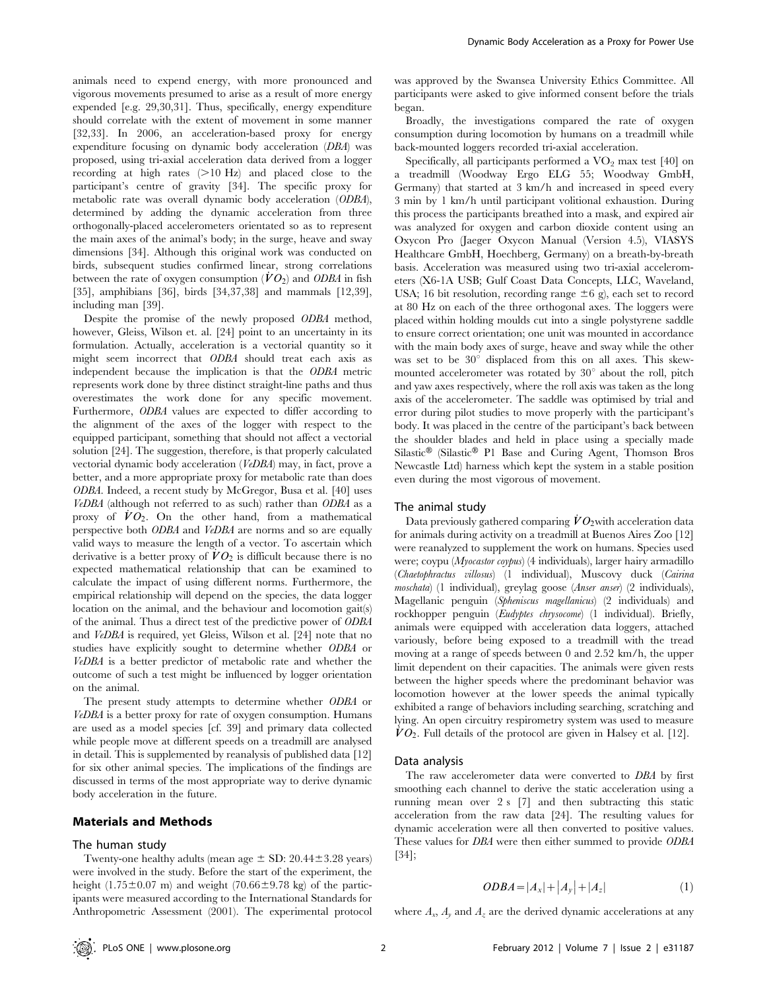animals need to expend energy, with more pronounced and vigorous movements presumed to arise as a result of more energy expended [e.g. 29,30,31]. Thus, specifically, energy expenditure should correlate with the extent of movement in some manner [32,33]. In 2006, an acceleration-based proxy for energy expenditure focusing on dynamic body acceleration (DBA) was proposed, using tri-axial acceleration data derived from a logger recording at high rates  $(>10 \text{ Hz})$  and placed close to the participant's centre of gravity [34]. The specific proxy for metabolic rate was overall dynamic body acceleration (ODBA), determined by adding the dynamic acceleration from three orthogonally-placed accelerometers orientated so as to represent the main axes of the animal's body; in the surge, heave and sway dimensions [34]. Although this original work was conducted on birds, subsequent studies confirmed linear, strong correlations between the rate of oxygen consumption  $(VO_2)$  and ODBA in fish [35], amphibians [36], birds [34,37,38] and mammals [12,39], including man [39].

Despite the promise of the newly proposed ODBA method, however, Gleiss, Wilson et. al. [24] point to an uncertainty in its formulation. Actually, acceleration is a vectorial quantity so it might seem incorrect that ODBA should treat each axis as independent because the implication is that the ODBA metric represents work done by three distinct straight-line paths and thus overestimates the work done for any specific movement. Furthermore, ODBA values are expected to differ according to the alignment of the axes of the logger with respect to the equipped participant, something that should not affect a vectorial solution [24]. The suggestion, therefore, is that properly calculated vectorial dynamic body acceleration (VeDBA) may, in fact, prove a better, and a more appropriate proxy for metabolic rate than does ODBA. Indeed, a recent study by McGregor, Busa et al. [40] uses VeDBA (although not referred to as such) rather than ODBA as a proxy of  $VO_2$ . On the other hand, from a mathematical perspective both ODBA and VeDBA are norms and so are equally valid ways to measure the length of a vector. To ascertain which derivative is a better proxy of  $VO<sub>2</sub>$  is difficult because there is no expected mathematical relationship that can be examined to calculate the impact of using different norms. Furthermore, the empirical relationship will depend on the species, the data logger location on the animal, and the behaviour and locomotion gait(s) of the animal. Thus a direct test of the predictive power of ODBA and VeDBA is required, yet Gleiss, Wilson et al. [24] note that no studies have explicitly sought to determine whether ODBA or VeDBA is a better predictor of metabolic rate and whether the outcome of such a test might be influenced by logger orientation on the animal.

The present study attempts to determine whether ODBA or VeDBA is a better proxy for rate of oxygen consumption. Humans are used as a model species [cf. 39] and primary data collected while people move at different speeds on a treadmill are analysed in detail. This is supplemented by reanalysis of published data [12] for six other animal species. The implications of the findings are discussed in terms of the most appropriate way to derive dynamic body acceleration in the future.

#### Materials and Methods

## The human study

Twenty-one healthy adults (mean age  $\pm$  SD: 20.44 $\pm$ 3.28 years) were involved in the study. Before the start of the experiment, the height (1.75 $\pm$ 0.07 m) and weight (70.66 $\pm$ 9.78 kg) of the participants were measured according to the International Standards for Anthropometric Assessment (2001). The experimental protocol was approved by the Swansea University Ethics Committee. All participants were asked to give informed consent before the trials began.

Broadly, the investigations compared the rate of oxygen consumption during locomotion by humans on a treadmill while back-mounted loggers recorded tri-axial acceleration.

Specifically, all participants performed a  $VO<sub>2</sub>$  max test [40] on a treadmill (Woodway Ergo ELG 55; Woodway GmbH, Germany) that started at 3 km/h and increased in speed every 3 min by 1 km/h until participant volitional exhaustion. During this process the participants breathed into a mask, and expired air was analyzed for oxygen and carbon dioxide content using an Oxycon Pro (Jaeger Oxycon Manual (Version 4.5), VIASYS Healthcare GmbH, Hoechberg, Germany) on a breath-by-breath basis. Acceleration was measured using two tri-axial accelerometers (X6-1A USB; Gulf Coast Data Concepts, LLC, Waveland, USA; 16 bit resolution, recording range  $\pm 6$  g), each set to record at 80 Hz on each of the three orthogonal axes. The loggers were placed within holding moulds cut into a single polystyrene saddle to ensure correct orientation; one unit was mounted in accordance with the main body axes of surge, heave and sway while the other was set to be  $30^{\circ}$  displaced from this on all axes. This skewmounted accelerometer was rotated by  $30^{\circ}$  about the roll, pitch and yaw axes respectively, where the roll axis was taken as the long axis of the accelerometer. The saddle was optimised by trial and error during pilot studies to move properly with the participant's body. It was placed in the centre of the participant's back between the shoulder blades and held in place using a specially made Silastic® (Silastic® P1 Base and Curing Agent, Thomson Bros Newcastle Ltd) harness which kept the system in a stable position even during the most vigorous of movement.

### The animal study

Data previously gathered comparing  $\dot{V}O_2$  with acceleration data for animals during activity on a treadmill at Buenos Aires Zoo [12] were reanalyzed to supplement the work on humans. Species used were; coypu (Myocastor coypus) (4 individuals), larger hairy armadillo (Chaetophractus villosus) (1 individual), Muscovy duck (Cairina moschata) (1 individual), greylag goose (Anser anser) (2 individuals), Magellanic penguin (Spheniscus magellanicus) (2 individuals) and rockhopper penguin (Eudyptes chrysocome) (1 individual). Briefly, animals were equipped with acceleration data loggers, attached variously, before being exposed to a treadmill with the tread moving at a range of speeds between 0 and 2.52 km/h, the upper limit dependent on their capacities. The animals were given rests between the higher speeds where the predominant behavior was locomotion however at the lower speeds the animal typically exhibited a range of behaviors including searching, scratching and lying. An open circuitry respirometry system was used to measure  $\dot{V}O_2$ . Full details of the protocol are given in Halsey et al. [12].

#### Data analysis

The raw accelerometer data were converted to DBA by first smoothing each channel to derive the static acceleration using a running mean over 2 s [7] and then subtracting this static acceleration from the raw data [24]. The resulting values for dynamic acceleration were all then converted to positive values. These values for DBA were then either summed to provide ODBA [34];

$$
ODBA = |A_x| + |A_y| + |A_z|
$$
 (1)

where  $A_x$ ,  $A_y$  and  $A_z$  are the derived dynamic accelerations at any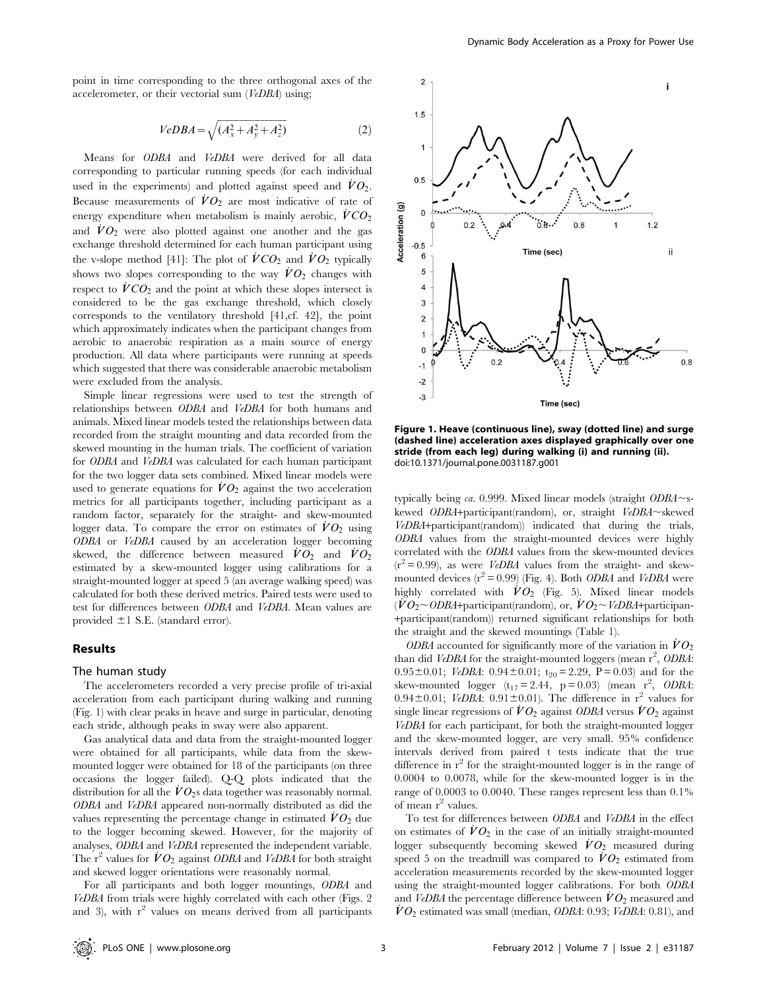point in time corresponding to the three orthogonal axes of the accelerometer, or their vectorial sum (VeDBA) using;

$$
VeDBA = \sqrt{(A_x^2 + A_y^2 + A_z^2)}
$$
 (2)

Means for ODBA and VeDBA were derived for all data corresponding to particular running speeds (for each individual used in the experiments) and plotted against speed and  $\dot{V}O_2$ . Because measurements of  $\dot{V}O_2$  are most indicative of rate of energy expenditure when metabolism is mainly aerobic,  $\dot{V}CO_2$ and  $\dot{V}O_2$  were also plotted against one another and the gas exchange threshold determined for each human participant using the v-slope method [41]: The plot of  $\dot{V}CO_2$  and  $\dot{V}O_2$  typically shows two slopes corresponding to the way  $\dot{V}O_2$  changes with respect to  $\dot{V}CO_2$  and the point at which these slopes intersect is considered to be the gas exchange threshold, which closely corresponds to the ventilatory threshold [41,cf. 42], the point which approximately indicates when the participant changes from aerobic to anaerobic respiration as a main source of energy production. All data where participants were running at speeds which suggested that there was considerable anaerobic metabolism were excluded from the analysis.

Simple linear regressions were used to test the strength of relationships between ODBA and VeDBA for both humans and animals. Mixed linear models tested the relationships between data recorded from the straight mounting and data recorded from the skewed mounting in the human trials. The coefficient of variation for ODBA and VeDBA was calculated for each human participant for the two logger data sets combined. Mixed linear models were used to generate equations for  $\dot{V}O_2$  against the two acceleration metrics for all participants together, including participant as a random factor, separately for the straight- and skew-mounted logger data. To compare the error on estimates of  $\dot{V}O_2$  using ODBA or VeDBA caused by an acceleration logger becoming skewed, the difference between measured  $\dot{V}O_2$  and  $\dot{V}O_2$ estimated by a skew-mounted logger using calibrations for a straight-mounted logger at speed 5 (an average walking speed) was calculated for both these derived metrics. Paired tests were used to test for differences between ODBA and VeDBA. Mean values are provided  $\pm 1$  S.E. (standard error).

## Results

#### The human study

The accelerometers recorded a very precise profile of tri-axial acceleration from each participant during walking and running (Fig. 1) with clear peaks in heave and surge in particular, denoting each stride, although peaks in sway were also apparent.

Gas analytical data and data from the straight-mounted logger were obtained for all participants, while data from the skewmounted logger were obtained for 18 of the participants (on three occasions the logger failed). Q-Q plots indicated that the distribution for all the  $\dot{V}O_2$ s data together was reasonably normal. ODBA and VeDBA appeared non-normally distributed as did the values representing the percentage change in estimated  $\dot{V}O_2$  due to the logger becoming skewed. However, for the majority of analyses, ODBA and VeDBA represented the independent variable. The r<sup>2</sup> values for  $\dot{V}O_2$  against *ODBA* and *VeDBA* for both straight and skewed logger orientations were reasonably normal.

For all participants and both logger mountings, ODBA and VeDBA from trials were highly correlated with each other (Figs. 2 and 3), with  $r^2$  values on means derived from all participants



Figure 1. Heave (continuous line), sway (dotted line) and surge (dashed line) acceleration axes displayed graphically over one stride (from each leg) during walking (i) and running (ii). doi:10.1371/journal.pone.0031187.g001

typically being ca. 0.999. Mixed linear models (straight  $ODBA \sim s$ kewed ODBA+participant(random), or, straight  $VeDBA \sim$ skewed VeDBA+participant(random)) indicated that during the trials, ODBA values from the straight-mounted devices were highly correlated with the ODBA values from the skew-mounted devices  $(r^2 = 0.99)$ , as were *VeDBA* values from the straight- and skewmounted devices  $(r^2 = 0.99)$  (Fig. 4). Both *ODBA* and *VeDBA* were highly correlated with  $\dot{V}O_2$  (Fig. 5). Mixed linear models  $(\dot{V}O_2 \sim ODBA +$ participant(random), or,  $\dot{V}O_2 \sim VeDBA +$ participan-+participant(random)) returned significant relationships for both the straight and the skewed mountings (Table 1).

ODBA accounted for significantly more of the variation in  $\dot{V}O_2$ than did VeDBA for the straight-mounted loggers (mean  $r^2$ , ODBA: 0.95 $\pm$ 0.01; *VeDBA*: 0.94 $\pm$ 0.01; t<sub>20</sub> = 2.29, P = 0.03) and for the skew-mounted logger  $(t_{17} = 2.44, p = 0.03)$  (mean r<sup>2</sup>, ODBA: 0.94 $\pm$ 0.01; VeDBA: 0.91 $\pm$ 0.01). The difference in r<sup>2</sup> values for single linear regressions of  $\dot{V}O_2$  against ODBA versus  $\dot{V}O_2$  against VeDBA for each participant, for both the straight-mounted logger and the skew-mounted logger, are very small. 95% confidence intervals derived from paired t tests indicate that the true difference in  $r^2$  for the straight-mounted logger is in the range of 0.0004 to 0.0078, while for the skew-mounted logger is in the range of 0.0003 to 0.0040. These ranges represent less than 0.1% of mean  $r^2$  values.

To test for differences between ODBA and VeDBA in the effect on estimates of  $\dot{V}O_2$  in the case of an initially straight-mounted logger subsequently becoming skewed  $\dot{V}O_2$  measured during speed 5 on the treadmill was compared to  $\dot{V}O_2$  estimated from acceleration measurements recorded by the skew-mounted logger using the straight-mounted logger calibrations. For both ODBA and VeDBA the percentage difference between  $\dot{V}O_2$  measured and  $VO<sub>2</sub>$  estimated was small (median, *ODBA*: 0.93; *VeDBA*: 0.81), and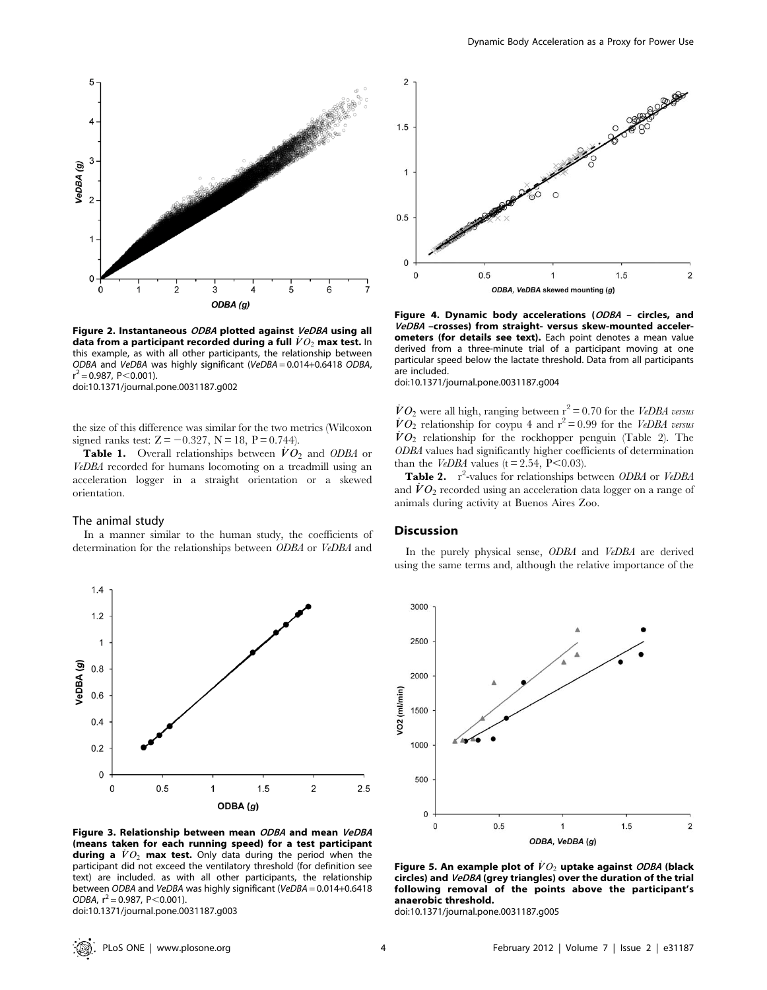

Figure 2. Instantaneous ODBA plotted against VeDBA using all data from a participant recorded during a full  $\dot{V}O_2$  max test. In this example, as with all other participants, the relationship between ODBA and VeDBA was highly significant (VeDBA = 0.014+0.6418 ODBA,  $r^2 = 0.987$ , P $<$ 0.001).

doi:10.1371/journal.pone.0031187.g002

the size of this difference was similar for the two metrics (Wilcoxon signed ranks test:  $Z = -0.327$ ,  $N = 18$ ,  $P = 0.744$ .

**Table 1.** Overall relationships between  $\dot{V}O_2$  and ODBA or VeDBA recorded for humans locomoting on a treadmill using an acceleration logger in a straight orientation or a skewed orientation.

#### The animal study

In a manner similar to the human study, the coefficients of determination for the relationships between ODBA or VeDBA and



Figure 3. Relationship between mean ODBA and mean VeDBA (means taken for each running speed) for a test participant during a  $\dot{V}O_2$  max test. Only data during the period when the participant did not exceed the ventilatory threshold (for definition see text) are included. as with all other participants, the relationship between ODBA and VeDBA was highly significant (VeDBA = 0.014+0.6418 ODBA,  $r^2$  = 0.987, P < 0.001). doi:10.1371/journal.pone.0031187.g003

 $\overline{c}$ 1.5  $\overline{1}$  $0.5$  $\bf 0$  $\Omega$  $0.5$  $\overline{1}$  $1.5$  $\overline{c}$ ODBA, VeDBA skewed mounting (g)

Figure 4. Dynamic body accelerations (ODBA – circles, and VeDBA –crosses) from straight- versus skew-mounted accelerometers (for details see text). Each point denotes a mean value derived from a three-minute trial of a participant moving at one particular speed below the lactate threshold. Data from all participants are included.

doi:10.1371/journal.pone.0031187.g004

 $\dot{V}O_2$  were all high, ranging between r<sup>2</sup> = 0.70 for the *VeDBA versus*  $\dot{V}O_2$  relationship for coypu 4 and  $r^2 = 0.99$  for the VeDBA versus  $\dot{V}O_2$  relationship for the rockhopper penguin (Table 2). The ODBA values had significantly higher coefficients of determination than the *VeDBA* values ( $t = 2.54$ ,  $P < 0.03$ ).

Table 2. r<sup>2</sup>-values for relationships between ODBA or VeDBA and  $VO<sub>2</sub>$  recorded using an acceleration data logger on a range of animals during activity at Buenos Aires Zoo.

#### **Discussion**

In the purely physical sense, ODBA and VeDBA are derived using the same terms and, although the relative importance of the



Figure 5. An example plot of  $\dot{V}O_2$  uptake against ODBA (black circles) and VeDBA (grey triangles) over the duration of the trial following removal of the points above the participant's anaerobic threshold.

doi:10.1371/journal.pone.0031187.g005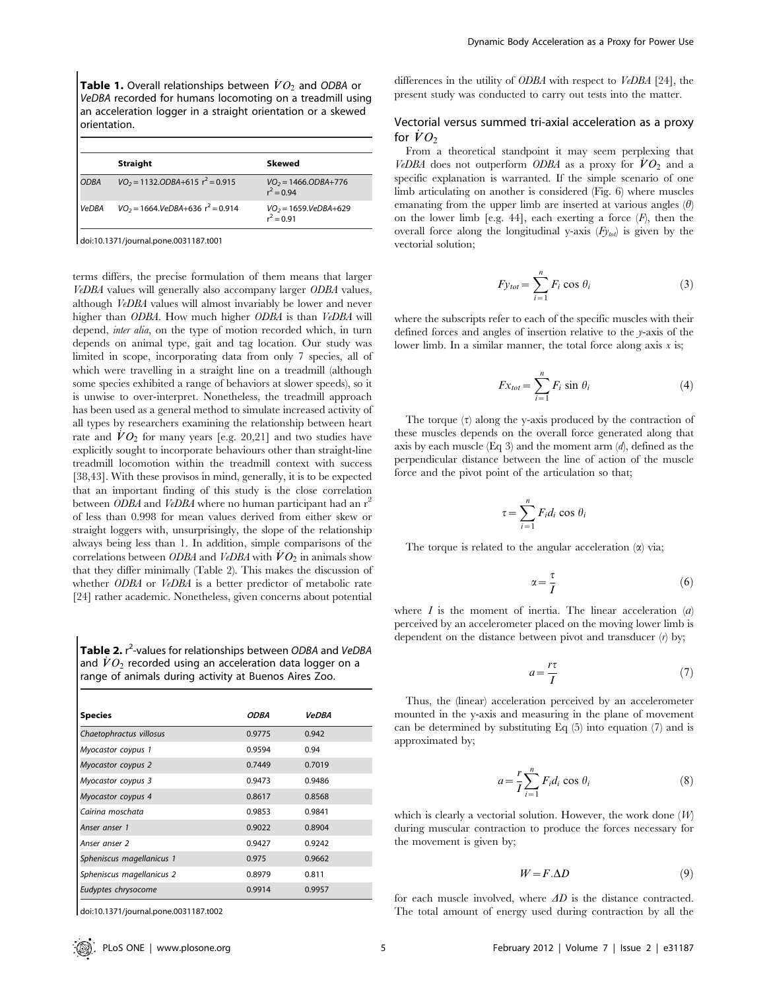**Table 1.** Overall relationships between  $\dot{V}O_2$  and ODBA or VeDBA recorded for humans locomoting on a treadmill using an acceleration logger in a straight orientation or a skewed orientation.

|              | <b>Straight</b>                        | Skewed                                    |
|--------------|----------------------------------------|-------------------------------------------|
| <b>ODBA</b>  | $VO_2 = 1132. ODBA + 615 r^2 = 0.915$  | $VO_2 = 1466. ODBA + 776$<br>$r^2 = 0.94$ |
| <b>VeDBA</b> | $VO_2 = 1664. VeDBA + 636 r^2 = 0.914$ | $VO_2 = 1659.VeDBA+629$<br>$r^2 = 0.91$   |

terms differs, the precise formulation of them means that larger VeDBA values will generally also accompany larger ODBA values, although VeDBA values will almost invariably be lower and never higher than ODBA. How much higher ODBA is than VeDBA will depend, inter alia, on the type of motion recorded which, in turn depends on animal type, gait and tag location. Our study was limited in scope, incorporating data from only 7 species, all of which were travelling in a straight line on a treadmill (although some species exhibited a range of behaviors at slower speeds), so it is unwise to over-interpret. Nonetheless, the treadmill approach has been used as a general method to simulate increased activity of all types by researchers examining the relationship between heart rate and  $\dot{V}O_2$  for many years [e.g. 20,21] and two studies have explicitly sought to incorporate behaviours other than straight-line treadmill locomotion within the treadmill context with success [38,43]. With these provisos in mind, generally, it is to be expected that an important finding of this study is the close correlation between ODBA and VeDBA where no human participant had an  $r^2$ of less than 0.998 for mean values derived from either skew or straight loggers with, unsurprisingly, the slope of the relationship always being less than 1. In addition, simple comparisons of the correlations between ODBA and VeDBA with  $VO_2$  in animals show that they differ minimally (Table 2). This makes the discussion of whether *ODBA* or *VeDBA* is a better predictor of metabolic rate [24] rather academic. Nonetheless, given concerns about potential

Table 2. r<sup>2</sup>-values for relationships between ODBA and VeDBA and  $\dot{V}O_2$  recorded using an acceleration data logger on a range of animals during activity at Buenos Aires Zoo.

| <b>Species</b>            | <i>ODBA</i> | <b>VeDBA</b> |
|---------------------------|-------------|--------------|
| Chaetophractus villosus   | 0.9775      | 0.942        |
| Myocastor coypus 1        | 0.9594      | 0.94         |
| Myocastor coypus 2        | 0.7449      | 0.7019       |
| Myocastor coypus 3        | 0.9473      | 0.9486       |
| Myocastor coypus 4        | 0.8617      | 0.8568       |
| Cairina moschata          | 0.9853      | 0.9841       |
| Anser anser 1             | 0.9022      | 0.8904       |
| Anser anser 2             | 0.9427      | 0.9242       |
| Spheniscus magellanicus 1 | 0.975       | 0.9662       |
| Spheniscus magellanicus 2 | 0.8979      | 0.811        |
| Eudyptes chrysocome       | 0.9914      | 0.9957       |

doi:10.1371/journal.pone.0031187.t002

differences in the utility of ODBA with respect to VeDBA [24], the present study was conducted to carry out tests into the matter.

## Vectorial versus summed tri-axial acceleration as a proxy for  $\dot{V}O_2$

From a theoretical standpoint it may seem perplexing that VeDBA does not outperform ODBA as a proxy for  $\dot{V}O_2$  and a specific explanation is warranted. If the simple scenario of one limb articulating on another is considered (Fig. 6) where muscles emanating from the upper limb are inserted at various angles  $(\theta)$ on the lower limb [e.g. 44], each exerting a force  $(F)$ , then the overall force along the longitudinal y-axis  $(F_{y_{tot}})$  is given by the vectorial solution;

$$
F y_{tot} = \sum_{i=1}^{n} F_i \cos \theta_i \tag{3}
$$

where the subscripts refer to each of the specific muscles with their defined forces and angles of insertion relative to the y-axis of the lower limb. In a similar manner, the total force along axis  $x$  is;

$$
Fx_{tot} = \sum_{i=1}^{n} F_i \sin \theta_i
$$
 (4)

The torque  $(\tau)$  along the y-axis produced by the contraction of these muscles depends on the overall force generated along that axis by each muscle (Eq 3) and the moment arm  $(d)$ , defined as the perpendicular distance between the line of action of the muscle force and the pivot point of the articulation so that;

$$
\tau = \sum_{i=1}^{n} F_i d_i \cos \theta_i
$$

The torque is related to the angular acceleration  $(\alpha)$  via;

$$
\alpha = \frac{\tau}{I} \tag{6}
$$

where  $I$  is the moment of inertia. The linear acceleration  $\langle a \rangle$ perceived by an accelerometer placed on the moving lower limb is dependent on the distance between pivot and transducer  $(r)$  by;

$$
a = \frac{r\tau}{I} \tag{7}
$$

Thus, the (linear) acceleration perceived by an accelerometer mounted in the y-axis and measuring in the plane of movement can be determined by substituting Eq  $(5)$  into equation  $(7)$  and is approximated by;

$$
a = \frac{r}{I} \sum_{i=1}^{n} F_i d_i \cos \theta_i \tag{8}
$$

which is clearly a vectorial solution. However, the work done  $(W)$ during muscular contraction to produce the forces necessary for the movement is given by;

$$
W = F.\Delta D \tag{9}
$$

for each muscle involved, where  $\Delta D$  is the distance contracted. The total amount of energy used during contraction by all the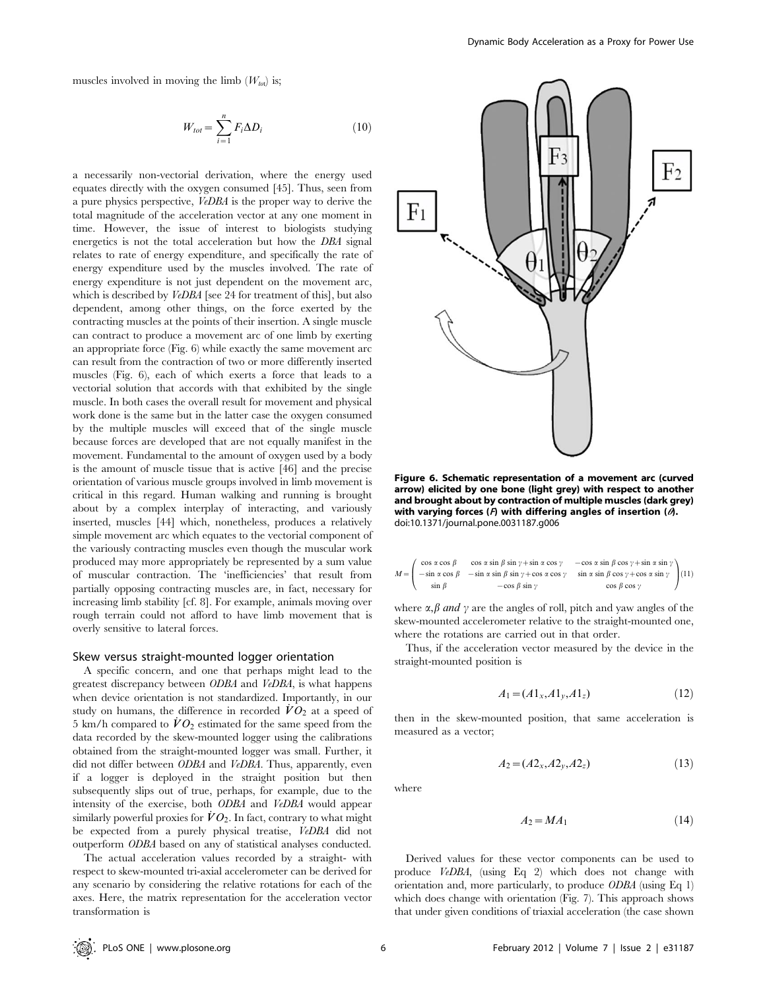muscles involved in moving the limb  $(W_{tot})$  is;

$$
W_{tot} = \sum_{i=1}^{n} F_i \Delta D_i
$$
 (10)

a necessarily non-vectorial derivation, where the energy used equates directly with the oxygen consumed [45]. Thus, seen from a pure physics perspective, VeDBA is the proper way to derive the total magnitude of the acceleration vector at any one moment in time. However, the issue of interest to biologists studying energetics is not the total acceleration but how the DBA signal relates to rate of energy expenditure, and specifically the rate of energy expenditure used by the muscles involved. The rate of energy expenditure is not just dependent on the movement arc, which is described by *VeDBA* [see 24 for treatment of this], but also dependent, among other things, on the force exerted by the contracting muscles at the points of their insertion. A single muscle can contract to produce a movement arc of one limb by exerting an appropriate force (Fig. 6) while exactly the same movement arc can result from the contraction of two or more differently inserted muscles (Fig. 6), each of which exerts a force that leads to a vectorial solution that accords with that exhibited by the single muscle. In both cases the overall result for movement and physical work done is the same but in the latter case the oxygen consumed by the multiple muscles will exceed that of the single muscle because forces are developed that are not equally manifest in the movement. Fundamental to the amount of oxygen used by a body is the amount of muscle tissue that is active [46] and the precise orientation of various muscle groups involved in limb movement is critical in this regard. Human walking and running is brought about by a complex interplay of interacting, and variously inserted, muscles [44] which, nonetheless, produces a relatively simple movement arc which equates to the vectorial component of the variously contracting muscles even though the muscular work produced may more appropriately be represented by a sum value of muscular contraction. The 'inefficiencies' that result from partially opposing contracting muscles are, in fact, necessary for increasing limb stability [cf. 8]. For example, animals moving over rough terrain could not afford to have limb movement that is overly sensitive to lateral forces.

#### Skew versus straight-mounted logger orientation

A specific concern, and one that perhaps might lead to the greatest discrepancy between ODBA and VeDBA, is what happens when device orientation is not standardized. Importantly, in our study on humans, the difference in recorded  $\dot{V}O_2$  at a speed of 5 km/h compared to  $\dot{V}O_2$  estimated for the same speed from the data recorded by the skew-mounted logger using the calibrations obtained from the straight-mounted logger was small. Further, it did not differ between *ODBA* and *VeDBA*. Thus, apparently, even if a logger is deployed in the straight position but then subsequently slips out of true, perhaps, for example, due to the intensity of the exercise, both ODBA and VeDBA would appear similarly powerful proxies for  $\dot{V}O_2$ . In fact, contrary to what might be expected from a purely physical treatise, VeDBA did not outperform ODBA based on any of statistical analyses conducted.

The actual acceleration values recorded by a straight- with respect to skew-mounted tri-axial accelerometer can be derived for any scenario by considering the relative rotations for each of the axes. Here, the matrix representation for the acceleration vector transformation is



Figure 6. Schematic representation of a movement arc (curved arrow) elicited by one bone (light grey) with respect to another and brought about by contraction of multiple muscles (dark grey) with varying forces ( $F$ ) with differing angles of insertion ( $\partial$ ). doi:10.1371/journal.pone.0031187.g006

$$
M = \begin{pmatrix} \cos \alpha \cos \beta & \cos \alpha \sin \beta \sin \gamma + \sin \alpha \cos \gamma & -\cos \alpha \sin \beta \cos \gamma + \sin \alpha \sin \gamma \\ -\sin \alpha \cos \beta & -\sin \alpha \sin \beta \sin \gamma + \cos \alpha \cos \gamma & \sin \alpha \sin \beta \cos \gamma + \cos \alpha \sin \gamma \\ \sin \beta & -\cos \beta \sin \gamma & \cos \beta \cos \gamma \end{pmatrix} (11)
$$

where  $\alpha, \beta$  and  $\gamma$  are the angles of roll, pitch and yaw angles of the skew-mounted accelerometer relative to the straight-mounted one, where the rotations are carried out in that order.

Thus, if the acceleration vector measured by the device in the straight-mounted position is

$$
A_1 = (A1_x, A1_y, A1_z) \tag{12}
$$

then in the skew-mounted position, that same acceleration is measured as a vector;

$$
A_2 = (A2_x, A2_y, A2_z) \tag{13}
$$

where

$$
A_2 = MA_1 \tag{14}
$$

Derived values for these vector components can be used to produce VeDBA, (using Eq 2) which does not change with orientation and, more particularly, to produce ODBA (using Eq 1) which does change with orientation (Fig. 7). This approach shows that under given conditions of triaxial acceleration (the case shown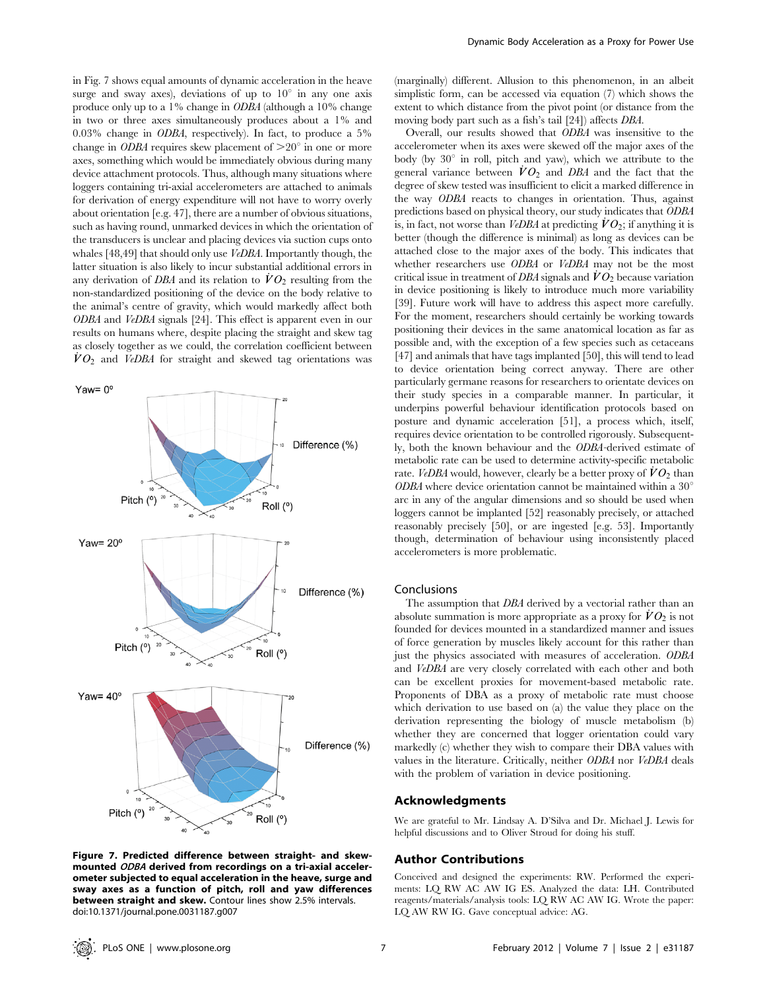in Fig. 7 shows equal amounts of dynamic acceleration in the heave surge and sway axes), deviations of up to  $10^{\circ}$  in any one axis produce only up to a 1% change in ODBA (although a 10% change in two or three axes simultaneously produces about a 1% and 0.03% change in ODBA, respectively). In fact, to produce a 5% change in ODBA requires skew placement of  $>20^{\circ}$  in one or more axes, something which would be immediately obvious during many device attachment protocols. Thus, although many situations where loggers containing tri-axial accelerometers are attached to animals for derivation of energy expenditure will not have to worry overly about orientation [e.g. 47], there are a number of obvious situations, such as having round, unmarked devices in which the orientation of the transducers is unclear and placing devices via suction cups onto whales [48,49] that should only use VeDBA. Importantly though, the latter situation is also likely to incur substantial additional errors in any derivation of DBA and its relation to  $\dot{V}O_2$  resulting from the non-standardized positioning of the device on the body relative to the animal's centre of gravity, which would markedly affect both ODBA and VeDBA signals [24]. This effect is apparent even in our results on humans where, despite placing the straight and skew tag as closely together as we could, the correlation coefficient between  $\dot{V}O_2$  and VeDBA for straight and skewed tag orientations was



Figure 7. Predicted difference between straight- and skewmounted ODBA derived from recordings on a tri-axial accelerometer subjected to equal acceleration in the heave, surge and sway axes as a function of pitch, roll and yaw differences between straight and skew. Contour lines show 2.5% intervals. doi:10.1371/journal.pone.0031187.g007

(marginally) different. Allusion to this phenomenon, in an albeit simplistic form, can be accessed via equation (7) which shows the extent to which distance from the pivot point (or distance from the moving body part such as a fish's tail [24]) affects DBA.

Overall, our results showed that ODBA was insensitive to the accelerometer when its axes were skewed off the major axes of the body (by  $30^{\circ}$  in roll, pitch and yaw), which we attribute to the general variance between  $\dot{V}O_2$  and DBA and the fact that the degree of skew tested was insufficient to elicit a marked difference in the way ODBA reacts to changes in orientation. Thus, against predictions based on physical theory, our study indicates that ODBA is, in fact, not worse than VeDBA at predicting  $\dot{V}O_2$ ; if anything it is better (though the difference is minimal) as long as devices can be attached close to the major axes of the body. This indicates that whether researchers use ODBA or VeDBA may not be the most critical issue in treatment of DBA signals and  $\dot{V}O_2$  because variation in device positioning is likely to introduce much more variability [39]. Future work will have to address this aspect more carefully. For the moment, researchers should certainly be working towards positioning their devices in the same anatomical location as far as possible and, with the exception of a few species such as cetaceans [47] and animals that have tags implanted [50], this will tend to lead to device orientation being correct anyway. There are other particularly germane reasons for researchers to orientate devices on their study species in a comparable manner. In particular, it underpins powerful behaviour identification protocols based on posture and dynamic acceleration [51], a process which, itself, requires device orientation to be controlled rigorously. Subsequently, both the known behaviour and the ODBA-derived estimate of metabolic rate can be used to determine activity-specific metabolic rate. VeDBA would, however, clearly be a better proxy of  $VO_2$  than  $ODBA$  where device orientation cannot be maintained within a  $30^{\circ}$ arc in any of the angular dimensions and so should be used when loggers cannot be implanted [52] reasonably precisely, or attached reasonably precisely [50], or are ingested [e.g. 53]. Importantly though, determination of behaviour using inconsistently placed accelerometers is more problematic.

#### Conclusions

The assumption that DBA derived by a vectorial rather than an absolute summation is more appropriate as a proxy for  $VO_2$  is not founded for devices mounted in a standardized manner and issues of force generation by muscles likely account for this rather than just the physics associated with measures of acceleration. ODBA and VeDBA are very closely correlated with each other and both can be excellent proxies for movement-based metabolic rate. Proponents of DBA as a proxy of metabolic rate must choose which derivation to use based on (a) the value they place on the derivation representing the biology of muscle metabolism (b) whether they are concerned that logger orientation could vary markedly (c) whether they wish to compare their DBA values with values in the literature. Critically, neither ODBA nor VeDBA deals with the problem of variation in device positioning.

## Acknowledgments

We are grateful to Mr. Lindsay A. D'Silva and Dr. Michael J. Lewis for helpful discussions and to Oliver Stroud for doing his stuff.

#### Author Contributions

Conceived and designed the experiments: RW. Performed the experiments: LQ RW AC AW IG ES. Analyzed the data: LH. Contributed reagents/materials/analysis tools: LQ RW AC AW IG. Wrote the paper: LQ AW RW IG. Gave conceptual advice: AG.